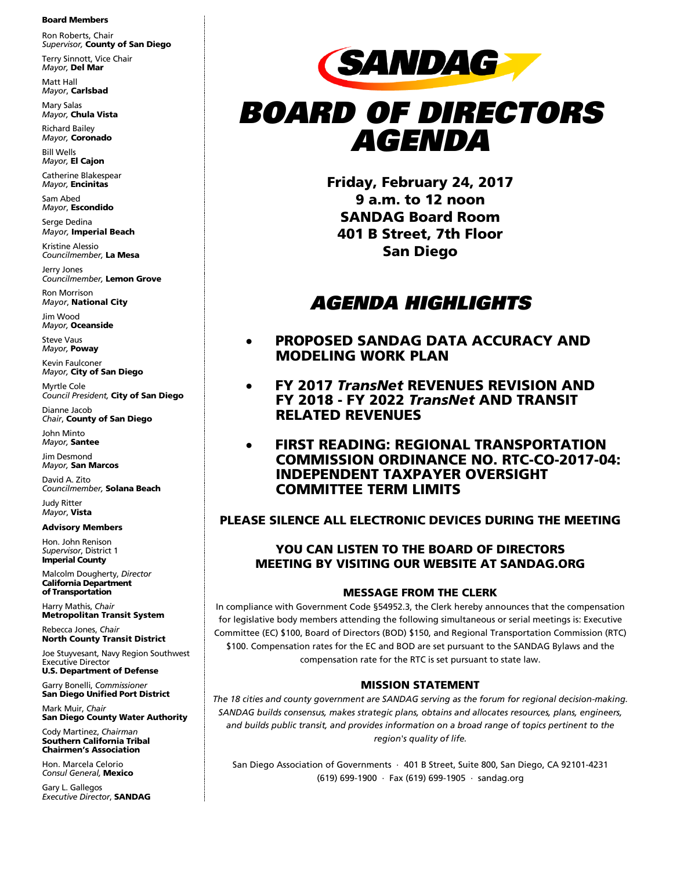#### Board Members

Ron Roberts, Chair *Supervisor,* County of San Diego

Terry Sinnott, Vice Chair *Mayor,* Del Mar Matt Hall

*Mayor*, Carlsbad

Mary Salas *Mayor,* Chula Vista

Richard Bailey *Mayor,* Coronado Bill Wells

*Mayor,* El Cajon Catherine Blakespear *Mayor,* Encinitas

Sam Abed *Mayor*, Escondido

Serge Dedina *Mayor,* Imperial Beach

Kristine Alessio *Councilmember,* La Mesa

Jerry Jones *Councilmember,* Lemon Grove

Ron Morrison *Mayor*, National City

Jim Wood *Mayor,* Oceanside

Steve Vaus *Mayor,* Poway

Kevin Faulconer *Mayor,* City of San Diego

Myrtle Cole *Council President,* City of San Diego

Dianne Jacob *Chair*, County of San Diego

John Minto *Mayor,* Santee

Jim Desmond *Mayor,* San Marcos

David A. Zito *Councilmember,* Solana Beach

Judy Ritter *Mayor*, Vista

Advisory Members

Hon. John Renison *Supervisor*, District 1 Imperial County

Malcolm Dougherty, *Director* California Department of Transportation

Harry Mathis, *Chair* Metropolitan Transit System

Rebecca Jones, *Chair* North County Transit District

Joe Stuyvesant, Navy Region Southwest Executive Director U.S. Department of Defense

Garry Bonelli, *Commissioner* San Diego Unified Port District

Mark Muir, *Chair* San Diego County Water Authority

Cody Martinez, *Chairman* Southern California Tribal Chairmen's Association

Hon. Marcela Celorio *Consul General,* Mexico

Gary L. Gallegos *Executive Director*, SANDAG



# BOARD OF DIRECTORS AGENDA

Friday, February 24, 2017 9 a.m. to 12 noon SANDAG Board Room 401 B Street, 7th Floor San Diego

## AGENDA HIGHLIGHTS

- PROPOSED SANDAG DATA ACCURACY AND MODELING WORK PLAN
- FY 2017 *TransNet* REVENUES REVISION AND FY 2018 - FY 2022 *TransNet* AND TRANSIT RELATED REVENUES
- FIRST READING: REGIONAL TRANSPORTATION COMMISSION ORDINANCE NO. RTC-CO-2017-04: INDEPENDENT TAXPAYER OVERSIGHT COMMITTEE TERM LIMITS

## PLEASE SILENCE ALL ELECTRONIC DEVICES DURING THE MEETING

## YOU CAN LISTEN TO THE BOARD OF DIRECTORS MEETING BY VISITING OUR WEBSITE AT SANDAG.ORG

## MESSAGE FROM THE CLERK

In compliance with Government Code §54952.3, the Clerk hereby announces that the compensation for legislative body members attending the following simultaneous or serial meetings is: Executive Committee (EC) \$100, Board of Directors (BOD) \$150, and Regional Transportation Commission (RTC) \$100. Compensation rates for the EC and BOD are set pursuant to the SANDAG Bylaws and the compensation rate for the RTC is set pursuant to state law.

## MISSION STATEMENT

*The 18 cities and county government are SANDAG serving as the forum for regional decision-making. SANDAG builds consensus, makes strategic plans, obtains and allocates resources, plans, engineers, and builds public transit, and provides information on a broad range of topics pertinent to the region's quality of life.*

San Diego Association of Governments ⋅ 401 B Street, Suite 800, San Diego, CA 92101-4231 (619) 699-1900 ⋅ Fax (619) 699-1905 ⋅ [sandag.org](http://www.sandag.org/)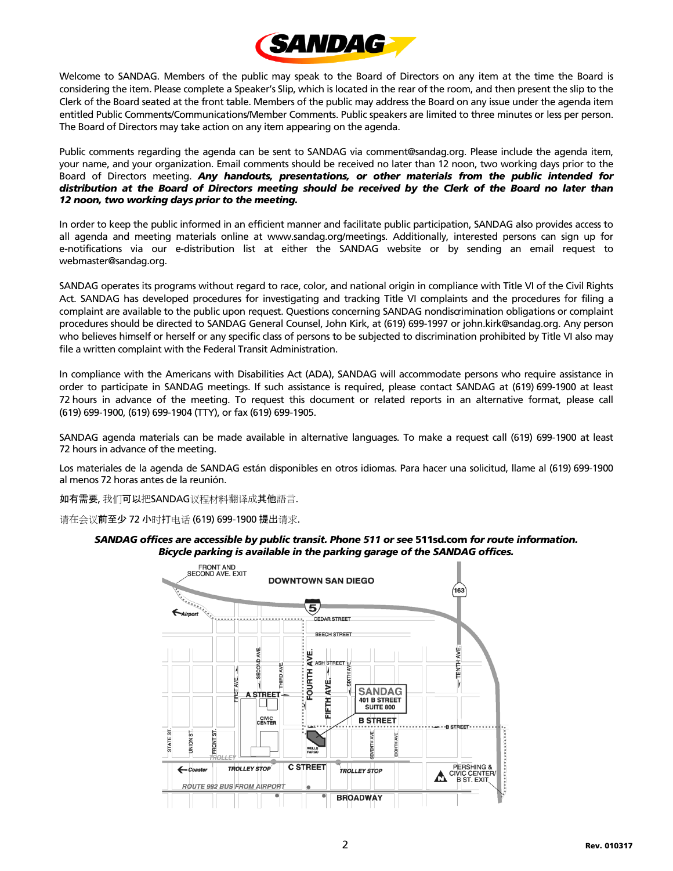

Welcome to SANDAG. Members of the public may speak to the Board of Directors on any item at the time the Board is considering the item. Please complete a Speaker's Slip, which is located in the rear of the room, and then present the slip to the Clerk of the Board seated at the front table. Members of the public may address the Board on any issue under the agenda item entitled Public Comments/Communications/Member Comments. Public speakers are limited to three minutes or less per person. The Board of Directors may take action on any item appearing on the agenda.

Public comments regarding the agenda can be sent to SANDAG via comment@sandag.org. Please include the agenda item, your name, and your organization. Email comments should be received no later than 12 noon, two working days prior to the Board of Directors meeting. *Any handouts, presentations, or other materials from the public intended for distribution at the Board of Directors meeting should be received by the Clerk of the Board no later than 12 noon, two working days prior to the meeting.*

In order to keep the public informed in an efficient manner and facilitate public participation, SANDAG also provides access to all agenda and meeting materials online at www.sandag.org/meetings. Additionally, interested persons can sign up for e-notifications via our e-distribution list at either the SANDAG website or by sending an email request to webmaster@sandag.org.

SANDAG operates its programs without regard to race, color, and national origin in compliance with Title VI of the Civil Rights Act. SANDAG has developed procedures for investigating and tracking Title VI complaints and the procedures for filing a complaint are available to the public upon request. Questions concerning SANDAG nondiscrimination obligations or complaint procedures should be directed to SANDAG General Counsel, John Kirk, at (619) 699-1997 or john.kirk@sandag.org. Any person who believes himself or herself or any specific class of persons to be subjected to discrimination prohibited by Title VI also may file a written complaint with the Federal Transit Administration.

In compliance with the Americans with Disabilities Act (ADA), SANDAG will accommodate persons who require assistance in order to participate in SANDAG meetings. If such assistance is required, please contact SANDAG at (619) 699-1900 at least 72 hours in advance of the meeting. To request this document or related reports in an alternative format, please call (619) 699-1900, (619) 699-1904 (TTY), or fax (619) 699-1905.

SANDAG agenda materials can be made available in alternative languages. To make a request call (619) 699-1900 at least 72 hours in advance of the meeting.

Los materiales de la agenda de SANDAG están disponibles en otros idiomas. Para hacer una solicitud, llame al (619) 699-1900 al menos 72 horas antes de la reunión.

如有需要, 我们可以把SANDAG议程材料翻译成其他語言.

请在会议前至少 72 小时打电话 (619) 699-1900 提出请求.

### *SANDAG offices are accessible by public transit. Phone 511 or see* [511sd.com](http://www.sdcommute.com/) *for route information. Bicycle parking is available in the parking garage of the SANDAG offices.*

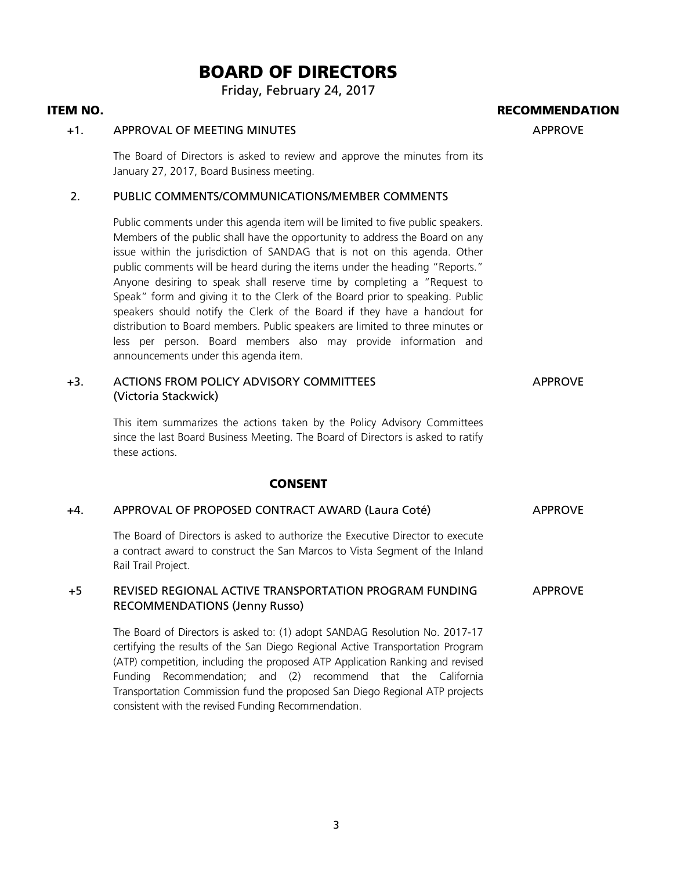## BOARD OF DIRECTORS

Friday, February 24, 2017

## ITEM NO. RECOMMENDATION

## +1. APPROVAL OF MEETING MINUTES APPROVE

The Board of Directors is asked to review and approve the minutes from its January 27, 2017, Board Business meeting.

## 2. PUBLIC COMMENTS/COMMUNICATIONS/MEMBER COMMENTS

Public comments under this agenda item will be limited to five public speakers. Members of the public shall have the opportunity to address the Board on any issue within the jurisdiction of SANDAG that is not on this agenda. Other public comments will be heard during the items under the heading "Reports." Anyone desiring to speak shall reserve time by completing a "Request to Speak" form and giving it to the Clerk of the Board prior to speaking. Public speakers should notify the Clerk of the Board if they have a handout for distribution to Board members. Public speakers are limited to three minutes or less per person. Board members also may provide information and announcements under this agenda item.

#### +3. ACTIONS FROM POLICY ADVISORY COMMITTEES (Victoria Stackwick) APPROVE

This item summarizes the actions taken by the Policy Advisory Committees since the last Board Business Meeting. The Board of Directors is asked to ratify these actions.

## CONSENT

## +4. APPROVAL OF PROPOSED CONTRACT AWARD (Laura Coté) APPROVE

The Board of Directors is asked to authorize the Executive Director to execute a contract award to construct the San Marcos to Vista Segment of the Inland Rail Trail Project.

#### +5 REVISED REGIONAL ACTIVE TRANSPORTATION PROGRAM FUNDING RECOMMENDATIONS (Jenny Russo) APPROVE

The Board of Directors is asked to: (1) adopt SANDAG Resolution No. 2017-17 certifying the results of the San Diego Regional Active Transportation Program (ATP) competition, including the proposed ATP Application Ranking and revised Funding Recommendation; and (2) recommend that the California Transportation Commission fund the proposed San Diego Regional ATP projects consistent with the revised Funding Recommendation.

3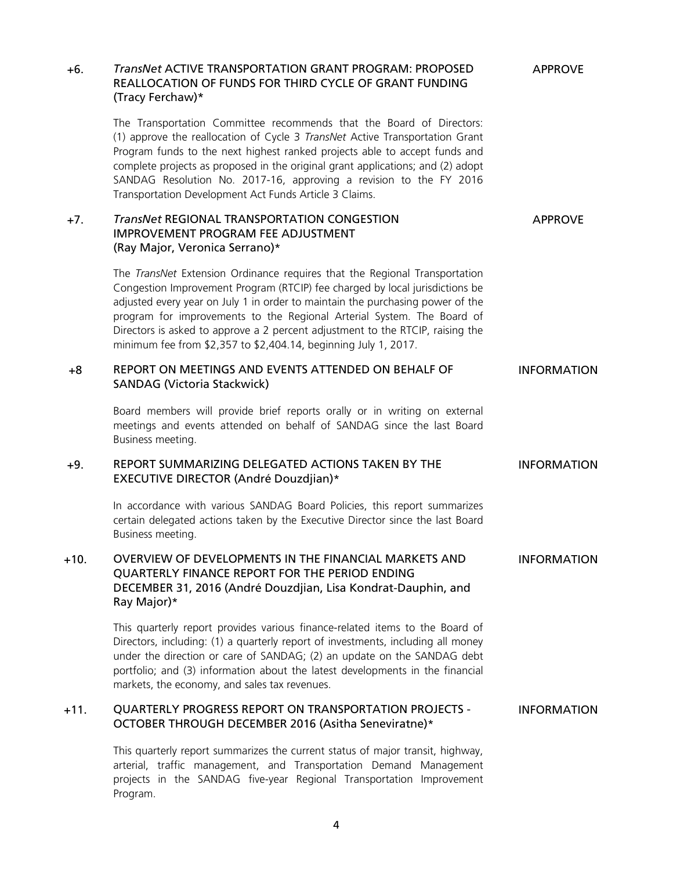| +6.    | <b>TransNet ACTIVE TRANSPORTATION GRANT PROGRAM: PROPOSED</b><br>REALLOCATION OF FUNDS FOR THIRD CYCLE OF GRANT FUNDING<br>(Tracy Ferchaw)*                                                                                                                                                                                                                                                                                                                                 | <b>APPROVE</b>     |
|--------|-----------------------------------------------------------------------------------------------------------------------------------------------------------------------------------------------------------------------------------------------------------------------------------------------------------------------------------------------------------------------------------------------------------------------------------------------------------------------------|--------------------|
|        | The Transportation Committee recommends that the Board of Directors:<br>(1) approve the reallocation of Cycle 3 TransNet Active Transportation Grant<br>Program funds to the next highest ranked projects able to accept funds and<br>complete projects as proposed in the original grant applications; and (2) adopt<br>SANDAG Resolution No. 2017-16, approving a revision to the FY 2016<br>Transportation Development Act Funds Article 3 Claims.                       |                    |
| $+7.$  | <b>TransNet REGIONAL TRANSPORTATION CONGESTION</b><br><b>IMPROVEMENT PROGRAM FEE ADJUSTMENT</b><br>(Ray Major, Veronica Serrano)*                                                                                                                                                                                                                                                                                                                                           | <b>APPROVE</b>     |
|        | The TransNet Extension Ordinance requires that the Regional Transportation<br>Congestion Improvement Program (RTCIP) fee charged by local jurisdictions be<br>adjusted every year on July 1 in order to maintain the purchasing power of the<br>program for improvements to the Regional Arterial System. The Board of<br>Directors is asked to approve a 2 percent adjustment to the RTCIP, raising the<br>minimum fee from \$2,357 to \$2,404.14, beginning July 1, 2017. |                    |
| +8     | REPORT ON MEETINGS AND EVENTS ATTENDED ON BEHALF OF<br><b>SANDAG (Victoria Stackwick)</b>                                                                                                                                                                                                                                                                                                                                                                                   | <b>INFORMATION</b> |
|        | Board members will provide brief reports orally or in writing on external<br>meetings and events attended on behalf of SANDAG since the last Board<br>Business meeting.                                                                                                                                                                                                                                                                                                     |                    |
| +9.    | REPORT SUMMARIZING DELEGATED ACTIONS TAKEN BY THE<br>EXECUTIVE DIRECTOR (André Douzdjian)*                                                                                                                                                                                                                                                                                                                                                                                  | <b>INFORMATION</b> |
|        | In accordance with various SANDAG Board Policies, this report summarizes<br>certain delegated actions taken by the Executive Director since the last Board<br>Business meeting.                                                                                                                                                                                                                                                                                             |                    |
| $+10.$ | OVERVIEW OF DEVELOPMENTS IN THE FINANCIAL MARKETS AND<br>QUARTERLY FINANCE REPORT FOR THE PERIOD ENDING<br>DECEMBER 31, 2016 (André Douzdjian, Lisa Kondrat-Dauphin, and<br>Ray Major)*                                                                                                                                                                                                                                                                                     | <b>INFORMATION</b> |
|        | This quarterly report provides various finance-related items to the Board of<br>Directors, including: (1) a quarterly report of investments, including all money<br>under the direction or care of SANDAG; (2) an update on the SANDAG debt<br>portfolio; and (3) information about the latest developments in the financial<br>markets, the economy, and sales tax revenues.                                                                                               |                    |
| +11.   | <b>QUARTERLY PROGRESS REPORT ON TRANSPORTATION PROJECTS -</b><br>OCTOBER THROUGH DECEMBER 2016 (Asitha Seneviratne)*                                                                                                                                                                                                                                                                                                                                                        | <b>INFORMATION</b> |
|        | This quarterly report summarizes the current status of major transit, highway,<br>arterial, traffic management, and Transportation Demand Management<br>projects in the SANDAG five-year Regional Transportation Improvement<br>Program.                                                                                                                                                                                                                                    |                    |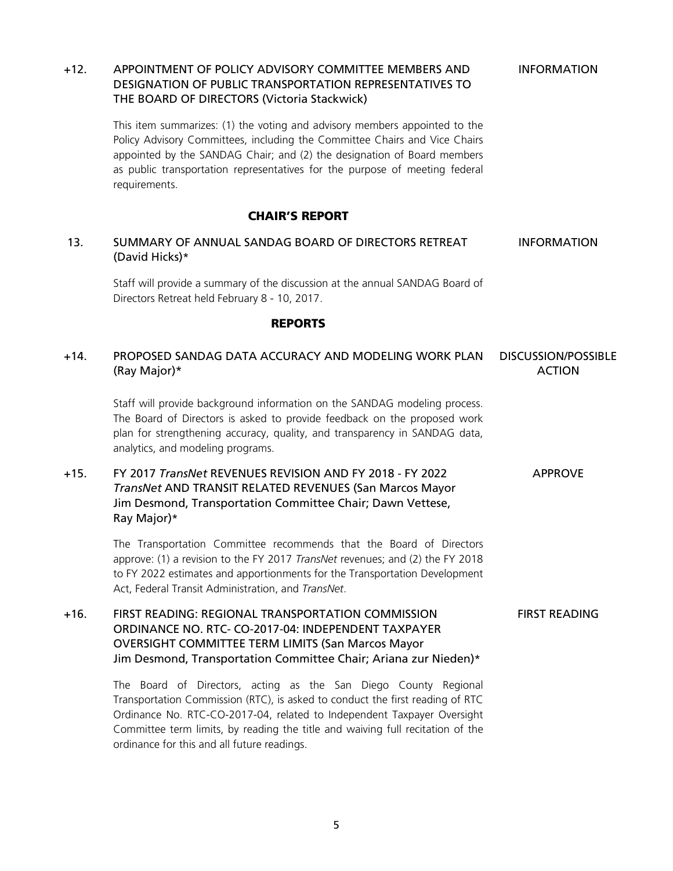## DESIGNATION OF PUBLIC TRANSPORTATION REPRESENTATIVES TO THE BOARD OF DIRECTORS (Victoria Stackwick) This item summarizes: (1) the voting and advisory members appointed to the Policy Advisory Committees, including the Committee Chairs and Vice Chairs appointed by the SANDAG Chair; and (2) the designation of Board members as public transportation representatives for the purpose of meeting federal requirements. CHAIR'S REPORT 13. SUMMARY OF ANNUAL SANDAG BOARD OF DIRECTORS RETREAT (David Hicks)\* INFORMATION Staff will provide a summary of the discussion at the annual SANDAG Board of Directors Retreat held February 8 - 10, 2017. REPORTS +14. PROPOSED SANDAG DATA ACCURACY AND MODELING WORK PLAN (Ray Major)\* DISCUSSION/POSSIBLE ACTION Staff will provide background information on the SANDAG modeling process. The Board of Directors is asked to provide feedback on the proposed work plan for strengthening accuracy, quality, and transparency in SANDAG data, analytics, and modeling programs. +15. FY 2017 *TransNet* REVENUES REVISION AND FY 2018 - FY 2022 *TransNet* AND TRANSIT RELATED REVENUES (San Marcos Mayor Jim Desmond, Transportation Committee Chair; Dawn Vettese, Ray Major)\* APPROVE The Transportation Committee recommends that the Board of Directors approve: (1) a revision to the FY 2017 *TransNet* revenues; and (2) the FY 2018 to FY 2022 estimates and apportionments for the Transportation Development Act, Federal Transit Administration, and *TransNet*. +16. FIRST READING: REGIONAL TRANSPORTATION COMMISSION ORDINANCE NO. RTC- CO-2017-04: INDEPENDENT TAXPAYER OVERSIGHT COMMITTEE TERM LIMITS (San Marcos Mayor Jim Desmond, Transportation Committee Chair; Ariana zur Nieden)\* FIRST READING The Board of Directors, acting as the San Diego County Regional Transportation Commission (RTC), is asked to conduct the first reading of RTC Ordinance No. RTC-CO-2017-04, related to Independent Taxpayer Oversight Committee term limits, by reading the title and waiving full recitation of the

INFORMATION

+12. APPOINTMENT OF POLICY ADVISORY COMMITTEE MEMBERS AND

5

ordinance for this and all future readings.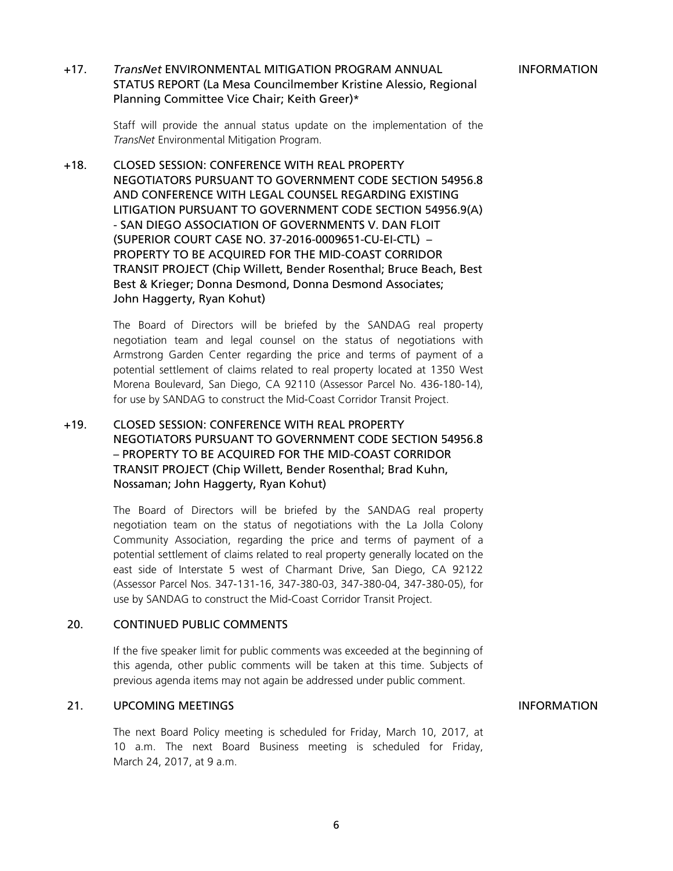## +17. *TransNet* ENVIRONMENTAL MITIGATION PROGRAM ANNUAL STATUS REPORT (La Mesa Councilmember Kristine Alessio, Regional Planning Committee Vice Chair; Keith Greer)\*

Staff will provide the annual status update on the implementation of the *TransNet* Environmental Mitigation Program.

+18. CLOSED SESSION: CONFERENCE WITH REAL PROPERTY NEGOTIATORS PURSUANT TO GOVERNMENT CODE SECTION 54956.8 AND CONFERENCE WITH LEGAL COUNSEL REGARDING EXISTING LITIGATION PURSUANT TO GOVERNMENT CODE SECTION 54956.9(A) - SAN DIEGO ASSOCIATION OF GOVERNMENTS V. DAN FLOIT (SUPERIOR COURT CASE NO. 37-2016-0009651-CU-EI-CTL) – PROPERTY TO BE ACQUIRED FOR THE MID-COAST CORRIDOR TRANSIT PROJECT (Chip Willett, Bender Rosenthal; Bruce Beach, Best Best & Krieger; Donna Desmond, Donna Desmond Associates; John Haggerty, Ryan Kohut)

> The Board of Directors will be briefed by the SANDAG real property negotiation team and legal counsel on the status of negotiations with Armstrong Garden Center regarding the price and terms of payment of a potential settlement of claims related to real property located at 1350 West Morena Boulevard, San Diego, CA 92110 (Assessor Parcel No. 436-180-14), for use by SANDAG to construct the Mid-Coast Corridor Transit Project.

## +19. CLOSED SESSION: CONFERENCE WITH REAL PROPERTY NEGOTIATORS PURSUANT TO GOVERNMENT CODE SECTION 54956.8 – PROPERTY TO BE ACQUIRED FOR THE MID-COAST CORRIDOR TRANSIT PROJECT (Chip Willett, Bender Rosenthal; Brad Kuhn, Nossaman; John Haggerty, Ryan Kohut)

The Board of Directors will be briefed by the SANDAG real property negotiation team on the status of negotiations with the La Jolla Colony Community Association, regarding the price and terms of payment of a potential settlement of claims related to real property generally located on the east side of Interstate 5 west of Charmant Drive, San Diego, CA 92122 (Assessor Parcel Nos. 347-131-16, 347-380-03, 347-380-04, 347-380-05), for use by SANDAG to construct the Mid-Coast Corridor Transit Project.

## 20. CONTINUED PUBLIC COMMENTS

If the five speaker limit for public comments was exceeded at the beginning of this agenda, other public comments will be taken at this time. Subjects of previous agenda items may not again be addressed under public comment.

## 21. UPCOMING MEETINGS **INFORMATION**

The next Board Policy meeting is scheduled for Friday, March 10, 2017, at 10 a.m. The next Board Business meeting is scheduled for Friday, March 24, 2017, at 9 a.m.